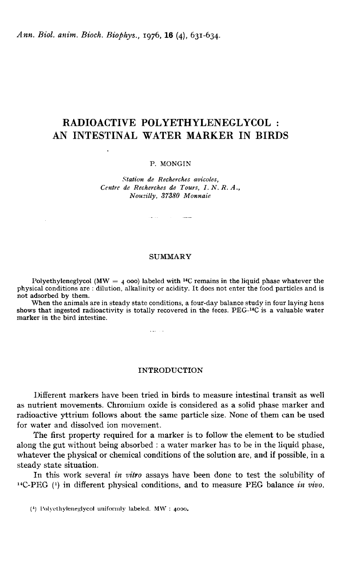Ann. Biol. anim. Bioch. Biophys., 1976. 16 (4), 631-634.

 $\mathcal{L}$ 

# RADIOACTIVE POLYETHYLENEGLYCOL : AN INTESTINAL WATER MARKER IN BIRDS

### P. MONGIN

Station de Recherches avicoles, Centre de Recherches de Tours, I. N. R. A., Nousilly, 37380 Monnaie

ستساد المرادي والتوا

**SUMMARY** 

Polyethyleneglycol (MW =  $\mu$  ooo) labeled with <sup>14</sup>C remains in the liquid phase whatever the physical conditions are : dilution, alkalinity or acidity. It does not enter the food particles and is not adsorbed by them.

When the animals are in steady state conditions, a four-day balance study in four laying hens shows that ingested radioactivity is totally recovered in the feces. PEG- $^{14}$ C is a valuable water marker in the bird intestine.

 $\mathbf{1}$  and  $\mathbf{1}$  and  $\mathbf{1}$ 

## INTRODUCTION

Different markers have been tried in birds to measure intestinal transit as well as nutrient movements. Chromium oxide is considered as a solid phase marker and radioactive yttrium follows about the same particle size. None of them can be used for water and dissolved ion movement.

The first property required for a marker is to follow the element to be studied along the gut without being absorbed : a water marker has to be in the liquid phase, whatever the physical or chemical conditions of the solution are, and if possible, in a steady state situation.

In this work several in vitro assays have been done to test the solubility of  $^{14}$ C-PEG (1) in different physical conditions, and to measure PEG balance in vivo.

 $(1)$  Polyethyleneglycol uniformly labeled. MW : 4000.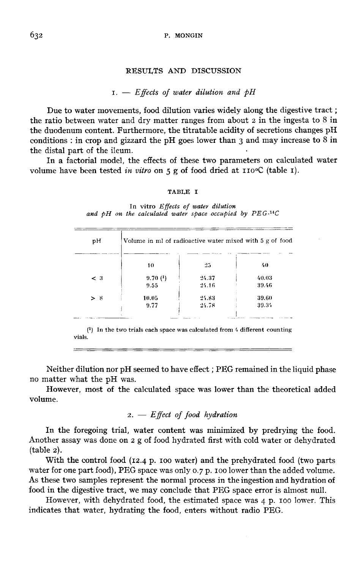## RESULTS AND DISCUSSION

## $r = E$  ffects of water dilution and  $\phi H$

Due to water movements, food dilution varies widely along the digestive tract ; the ratio between water and dry matter ranges from about 2 in the ingesta to 8 in the duodenum content. Furthermore, the titratable acidity of secretions changes pH conditions : in crop and gizzard the pH goes lower than 3 and may increase to 8 in the distal part of the ileum.

In a factorial model, the effects of these two parameters on calculated water volume have been tested in vitro on  $5$  g of food dried at  $110^{\circ}C$  (table I).

## TABLE I

In vitro Effects of water dilution and  $pH$  on the calculated water space occupied by  $PEG$ -<sup>14</sup>C

| рH    | Volume in ml of radioactive water mixed with 5 g of food |       |       |  |  |
|-------|----------------------------------------------------------|-------|-------|--|--|
|       | 10                                                       | 25    | 40    |  |  |
| $<$ 3 | 9.70(1)                                                  | 24.37 | 40.03 |  |  |
|       | 9.55                                                     | 24.16 | 39.46 |  |  |
| > x   | 10.05                                                    | 24.83 | 39.60 |  |  |
|       | 9.77                                                     | 24.78 | 39.34 |  |  |

 $(1)$  In the two trials each space was calculated from 4 different counting vials.

Neither dilution nor pH seemed to have effect; PEG remained in the liquid phase no matter what the pH was.

However, most of the calculated space was lower than the theoretical added volume.

# $2. - Effect$  of food hydration

In the foregoing trial, water content was minimized by predrying the food. Another assay was done on 2 g of food hydrated first with cold water or dehydrated (table 2).

With the control food (12.4 p. 100 water) and the prehydrated food (two parts water for one part food), PEG space was only 0.7 p. 100 lower than the added volume. As these two samples represent the normal process in the ingestion and hydration of food in the digestive tract, we may conclude that PEG space error is almost null.

However, with dehydrated food, the estimated space was 4 p. 100 lower. This indicates that water, hydrating the food, enters without radio PEG.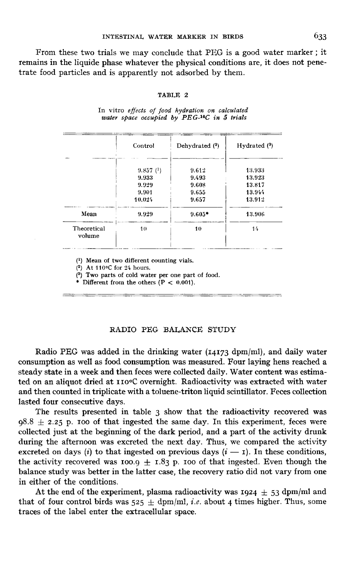From these two trials we may conclude that PEG is a good water marker ; it remains in the liquide phase whatever the physical conditions are, it does not penetrate food particles and is apparently not adsorbed by them.

#### TABLE 2

|                       | Control  | Dehydrated (2) | Hydrated $(3)$ |  |  |
|-----------------------|----------|----------------|----------------|--|--|
|                       | 9.857(1) | 9.612          | 13.933         |  |  |
|                       | 9.933    | 9.493          | 13.923         |  |  |
|                       | 9.929    | 9.608          | 13.817         |  |  |
|                       | 9.901    | 9.655          | 13.944         |  |  |
|                       | 10.024   | 9.657          | 13.912         |  |  |
| Mean                  | 9.929    | $9.605*$       | 13.906         |  |  |
| Theoretical<br>volume | 10       | 10             | 14             |  |  |

In vitro effects of food hydration on calculated water space occupied by PEG-<sup>14</sup>C in 5 trials

 $(1)$  Mean of two different counting vials.

(2) At 110 $\mathrm{C}$  for 24 hours.

 $\ddot{ }$ 

<sup>(3)</sup> Two parts of cold water per one part of food.

\* Different from the others  $(P < 0.001)$ .

## RADIO PEG BALANCE STUDY

Radio PEG was added in the drinking water (14173 dpm/ml), and daily water consumption as well as food consumption was measured. Four laying hens reached a steady state in a week and then feces were collected daily. Water content was estimated on an aliquot dried at IIO°C overnight. Radioactivity was extracted with water and then counted in triplicate with a toluene-triton liquid scintillator. Feces collection lasted four consecutive days.

The results presented in table 3 show that the radioactivity recovered was  $0.98.8 \pm 2.25$  p. 100 of that ingested the same day. In this experiment, feces were collected just at the beginning of the dark period, and a part of the activity drunk during the afternoon was excreted the next day. Thus, we compared the activity excreted on days (*i*) to that ingested on previous days  $(i - r)$ . In these conditions, the activity recovered was 100.9 + 1.83 p. 100 of that ingested. Even though the collected just at the beginning of the dark period, and a part of the activity drunk<br>during the afternoon was excreted the next day. Thus, we compared the activity<br>excreted on days (*i*) to that ingested on previous days balance study was better in the latter case, the recovery ratio did not vary from one in either of the conditions.

At the end of the experiment, plasma radioactivity was  $1924 \pm 53$  dpm/ml and that of four control birds was  $525 \pm$  dpm/ml, i.e. about 4 times higher. Thus, some traces of the label enter the extracellular space.